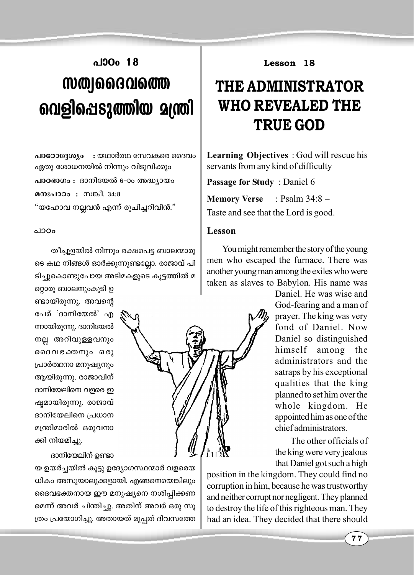## **]mTw 18** *k***W@J663016@@ വെളിപെടുത്തിയ മന്ത്രി**

**പാഠോദ്ദേശ്യം :** യഥാർത്ഥ സേവകരെ ദൈവം  $\alpha$ ദ്യതു ശോധനയിൽ നിന്നും വിടുവിക്കും **പാഠഭാഗം** : ദാനിയേൽ 6-ാം അദ്ധ്യായം **മനഃപാഠം : സങ്കീ. 34:8** "യഹോവ നല്ലവൻ എന്ന് രുചിച്ചറിവിൻ."

തീച്ചൂളയിൽ നിന്നും രക്ഷപെട്ട ബാലന്മാരു ടെ കഥ നിങ്ങൾ ഓർക്കുന്നുണ്ടല്ലോ. രാജാവ് പി ടിച്ചുകൊണ്ടുപോയ അടിമകളുടെ കൂട്ടത്തിൽ മ

റ്റൊരു ബാലനുംകൂടി ഉ ണ്ടായിരുന്നു. അവന്റെ പേര് 'ദാനിയേൽ' എ ന്നായിരുന്നു. ദാനിയേൽ നല്ല അറിവുള്ളവനും ദൈവഭക്തനും ഒരു {]m¿∞-\m a-\p-jy\pw ആയിരുന്നു. രാജാവിന് ദാനിയേലിനെ വളരെ ഇ ഷ്യമായിരുന്നു. രാജാവ് ദാനിയേലിനെ പ്രധാന മന്ത്രിമാരിൽ ഒരുവനാ ക്കി നിയമിച്ചു.

ദാനിയേലിന് ഉണ്ടാ

യ ഉയർച്ചയിൽ കൂട്ടു ഉദ്യോഗസ്ഥന്മാർ വളരെയ ധികം അസുയാലുക്കളായി. എങ്ങനെയെങ്കിലും ദൈവഭക്തനായ ഈ മനുഷ്യനെ നശിപ്പിക്കണ മെന്ന് അവർ ചിന്തിച്ചു. അതിന് അവർ ഒരു സൂ {തം പ്രയോഗിച്ചു. അതായത് മുപ്പത് ദിവസത്തേ

**Lesson 18**

## **THE ADMINISTRATOR WHO REVEALED THE TRUE GOD**

**Learning Objectives** : God will rescue his servants from any kind of difficulty

**Passage for Study** : Daniel 6

**Memory Verse** : Psalm 34:8 –

Taste and see that the Lord is good.

## **]mT-w Lesson**

You might remember the story of the young men who escaped the furnace. There was another young man among the exiles who were taken as slaves to Babylon. His name was

> Daniel. He was wise and God-fearing and a man of prayer. The king was very fond of Daniel. Now Daniel so distinguished himself among the administrators and the satraps by his exceptional qualities that the king planned to set him over the whole kingdom. He appointed him as one of the chief administrators.

> The other officials of the king were very jealous that Daniel got such a high

position in the kingdom. They could find no corruption in him, because he was trustworthy and neither corrupt nor negligent. They planned to destroy the life of this righteous man. They had an idea. They decided that there should

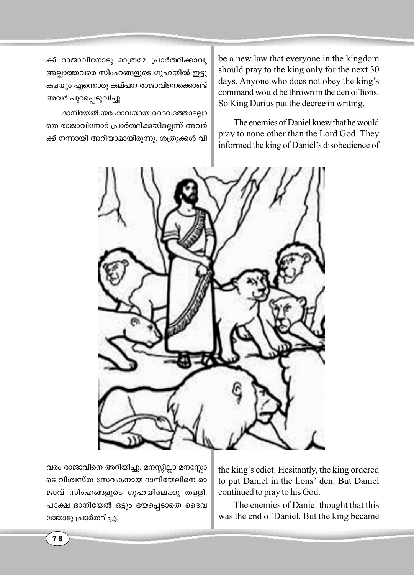ക്ക് രാജാവിനോടു മാത്രമേ പ്രാർത്ഥിക്കാവൂ അല്ലാത്തവരെ സിംഹങ്ങളുടെ ഗുഹയിൽ ഇട്ടു കളയും എന്നൊരു കല്പന രാജാവിനെക്കൊണ്ട് അവർ പുറപ്പെടുവിച്ചു.

ദാനിയേൽ യഹോവയായ ദൈവത്തോടല്ലാ തെ രാജാവിനോട് പ്രാർത്ഥിക്കയില്ലെന്ന് അവർ ക്ക് നന്നായി അറിയാമായിരുന്നു. ശത്രുക്കൾ വി be a new law that everyone in the kingdom should pray to the king only for the next 30 days. Anyone who does not obey the king's command would be thrown in the den of lions. So King Darius put the decree in writing.

The enemies of Daniel knew that he would pray to none other than the Lord God. They informed the king of Daniel's disobedience of



വരം രാജാവിനെ അറിയിച്ചു. മനസ്സില്ലാ മനസ്സോ ടെ വിശ്വസ്ത സേവകനായ ദാനിയേലിനെ രാ ജാവ് സിംഹങ്ങളുടെ ഗുഹയിലേക്കു തള്ളി. പക്ഷേ ദാനിയേൽ ഒട്ടും ഭയപ്പെടാതെ ദൈവ ത്തോടു പ്രാർത്ഥിച്ചു.

the king's edict. Hesitantly, the king ordered to put Daniel in the lions' den. But Daniel continued to pray to his God.

The enemies of Daniel thought that this was the end of Daniel. But the king became